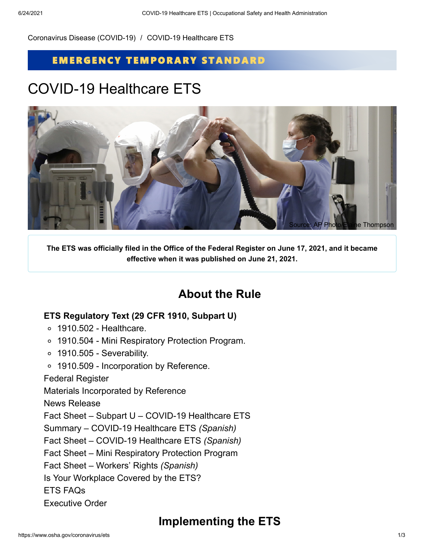[Coronavirus Disease \(COVID-19\)](https://www.osha.gov/coronavirus) / COVID-19 Healthcare ETS

### **EMERGENCY TEMPORARY STANDARD**

# COVID-19 Healthcare ETS



**The ETS was officially filed in the Office of the Federal Register on June 17, 2021, and it became effective when it was published on June 21, 2021.**

## **About the Rule**

### **ETS [Regulatory](https://www.osha.gov/laws-regs/regulations/standardnumber/1910#1910_Subpart_U) Text (29 CFR 1910, Subpart U)**

- 1910.502 [Healthcare.](https://www.osha.gov/laws-regs/regulations/standardnumber/1910/1910.502)
- 1910.504 Mini [Respiratory](https://www.osha.gov/laws-regs/regulations/standardnumber/1910/1910.504) Protection Program.
- $\circ$  1910.505 [Severability.](https://www.osha.gov/laws-regs/regulations/standardnumber/1910/1910.505)
- 1910.509 [Incorporation](https://www.osha.gov/laws-regs/regulations/standardnumber/1910/1910.509) by Reference.

#### Federal [Register](https://www.osha.gov/laws-regs/federalregister/2021-06-21)

Materials [Incorporated](https://www.osha.gov/coronavirus/ets/ibr) by Reference

News [Release](https://www.osha.gov/news/newsreleases/national/06102021)

Fact Sheet – Subpart U – COVID-19 [Healthcare](https://www.osha.gov/sites/default/files/publications/OSHA4122.pdf) ETS

Summary – COVID-19 [Healthcare](https://www.osha.gov/sites/default/files/publications/OSHA4120.pdf) ETS *([Spanish](https://www.osha.gov/sites/default/files/publications/OSHA4126.pdf))*

Fact Sheet – COVID-19 [Healthcare](https://www.osha.gov/sites/default/files/publications/OSHA4123.pdf) ETS *[\(Spanish](https://www.osha.gov/sites/default/files/publications/OSHA4127.pdf))*

Fact Sheet – Mini [Respiratory](https://www.osha.gov/sites/default/files/publications/OSHA4121.pdf) Protection Program

Fact Sheet – [Workers'](https://www.osha.gov/sites/default/files/publications/OSHA4124.pdf) Rights *([Spanish\)](https://www.osha.gov/sites/default/files/publications/OSHA4128.pdf)*

Is Your [Workplace](https://www.osha.gov/sites/default/files/publications/OSHA4125.pdf) Covered by the ETS?

ETS [FAQs](https://www.osha.gov/coronavirus/ets/faqs)

[Executive](https://www.whitehouse.gov/briefing-room/presidential-actions/2021/01/21/executive-order-protecting-worker-health-and-safety/) Order

## **Implementing the ETS**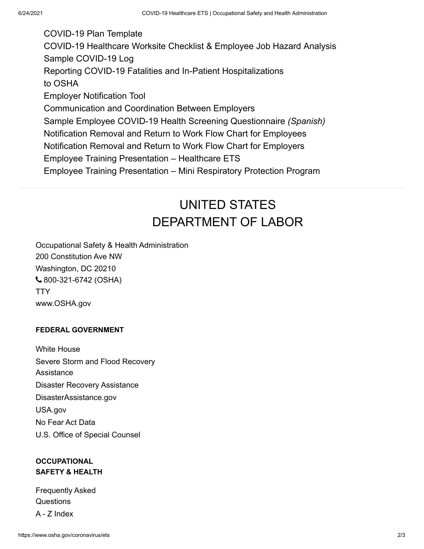[COVID-19](https://www.osha.gov/sites/default/files/COVID-19_Healthcare_ETS_Model_Written_Plan.docx) Plan Template COVID-19 [Healthcare](https://www.osha.gov/sites/default/files/COVID-19_Healthcare_ETS_Worksite_Checklist_Employee_Job_Hazard_Analysis.pdf) Worksite Checklist & Employee Job Hazard Analysis Sample [COVID-19](https://www.osha.gov/sites/default/files/publications/OSHA4130.pdf) Log Reporting COVID-19 Fatalities and In-Patient [Hospitalizations](https://www.osha.gov/sites/default/files/publications/OSHA4129.pdf) to OSHA Employer [Notification](https://www.osha.gov/sites/default/files/publications/OSHA4131.pdf) Tool [Communication](https://www.osha.gov/sites/default/files/OSHA-4134-06-2021-COVID-19-Healthcare-ETS-Communication-Coordination-Employers.pdf) and Coordination Between Employers Sample Employee COVID-19 Health Screening [Questionnaire](https://www.osha.gov/sites/default/files/publications/OSHA4132.pdf) *([Spanish\)](https://www.osha.gov/sites/default/files/publications/OSHA4133.pdf)* Notification Removal and Return to Work Flow Chart for [Employees](https://www.osha.gov/sites/default/files/COVID-19%20Healthcare%20ETS%20Notification%20Removal%20and%20Return%20to%20Work%20Flow%20Chart%20-%20Worker.pdf) [Notification](https://www.osha.gov/sites/default/files/COVID-19%20Healthcare%20ETS%20Notification%20Removal%20and%20Return%20to%20Work%20Flow%20Chart%20-%20Employer.pdf) Removal and Return to Work Flow Chart for Employers Employee Training [Presentation](https://www.osha.gov/sites/default/files/COVID-19%20Healthcare%20ETS%20502%20Employee%20Training.pptx) – Healthcare ETS Employee Training [Presentation](https://www.osha.gov/sites/default/files/COVID-19%20Healthcare%20ETS%20504%20Employee%20Training.pptx) – Mini Respiratory Protection Program

# UNITED STATES [DEPARTMENT OF LABOR](https://www.dol.gov/)

Occupational Safety & Health Administration 200 Constitution Ave NW Washington, DC 20210 [800-321-6742](tel:+18003216742) (OSHA) **[TTY](https://www.dol.gov/general/contact-phone-call-center#tty)** [www.OSHA.gov](https://www.osha.gov/)

#### **FEDERAL GOVERNMENT**

[White House](https://www.whitehouse.gov/) [Severe Storm and Flood Recovery](https://www.dol.gov/general/stormrecovery) Assistance [Disaster Recovery Assistance](https://www.dol.gov/general/disasterrecovery) [DisasterAssistance.gov](https://www.disasterassistance.gov/) [USA.gov](https://usa.gov/) [No Fear Act Data](https://www.dol.gov/oasam/programs/crc/NoFearResult.htm) [U.S. Office of Special Counsel](https://osc.gov/)

### **OCCUPATIONAL SAFETY & HEALTH**

[Frequently Asked](https://www.osha.gov/faq) **Questions** [A - Z Index](https://www.osha.gov/a-z)